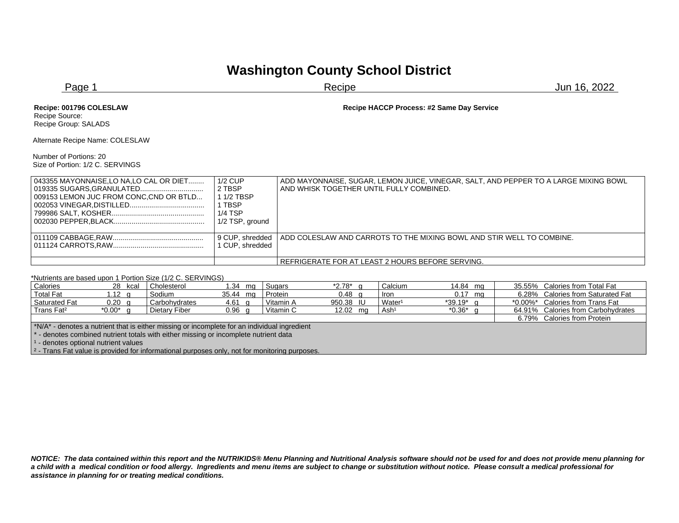## **Washington County School District**

| Recipe HACCP Process: #2 Same Day Service                                                                                                           |  |
|-----------------------------------------------------------------------------------------------------------------------------------------------------|--|
|                                                                                                                                                     |  |
|                                                                                                                                                     |  |
|                                                                                                                                                     |  |
| ADD MAYONNAISE, SUGAR, LEMON JUICE, VINEGAR, SALT, AND PEPPER TO A LARGE MIXING BOWL<br>AND WHISK TOGETHER UNTIL FULLY COMBINED.<br>1/2 TSP, ground |  |
| 9 CUP, shredded<br>ADD COLESLAW AND CARROTS TO THE MIXING BOWL AND STIR WELL TO COMBINE.<br>1 CUP, shredded                                         |  |
| REFRIGERATE FOR AT LEAST 2 HOURS BEFORE SERVING.                                                                                                    |  |
|                                                                                                                                                     |  |

| Calories                                                                                                  | 28 kcal          | Cholesterol                 | 1.34<br>ma        | Sugars    | *2.78*     | Calcium            | 14.84 mg  | 35.55% Calories from Total Fat     |  |
|-----------------------------------------------------------------------------------------------------------|------------------|-----------------------------|-------------------|-----------|------------|--------------------|-----------|------------------------------------|--|
| <b>Total Fat</b>                                                                                          | 1.12 a           | Sodium                      | 35.44 mg          | Protein   | $0.48$ q   | lron.              | $0.17$ mg | 6.28% Calories from Saturated Fat  |  |
| Saturated Fat                                                                                             | $0.20 \text{ q}$ | Carbohydrates               | 4.61 g            | Vitamin A | 950.38 IU  | Water <sup>1</sup> | *39.19* a | *0.00%* Calories from Trans Fat    |  |
| Trans Fat <sup>2</sup>                                                                                    | $*0.00^*$ q      | Dietary Fiber               | 0.96 <sub>q</sub> | Vitamin C | 12.02 $mg$ | Ash <sup>1</sup>   | *0.36*    | 64.91% Calories from Carbohydrates |  |
|                                                                                                           |                  | 6.79% Calories from Protein |                   |           |            |                    |           |                                    |  |
| *N/A* - denotes a nutrient that is either missing or incomplete for an individual ingredient              |                  |                             |                   |           |            |                    |           |                                    |  |
| - denotes combined nutrient totals with either missing or incomplete nutrient data                        |                  |                             |                   |           |            |                    |           |                                    |  |
| <sup>1</sup> - denotes optional nutrient values                                                           |                  |                             |                   |           |            |                    |           |                                    |  |
| $\frac{1}{2}$ - Trans Fat value is provided for informational purposes only, not for monitoring purposes. |                  |                             |                   |           |            |                    |           |                                    |  |

*NOTICE: The data contained within this report and the NUTRIKIDS® Menu Planning and Nutritional Analysis software should not be used for and does not provide menu planning for a child with a medical condition or food allergy. Ingredients and menu items are subject to change or substitution without notice. Please consult a medical professional for assistance in planning for or treating medical conditions.*